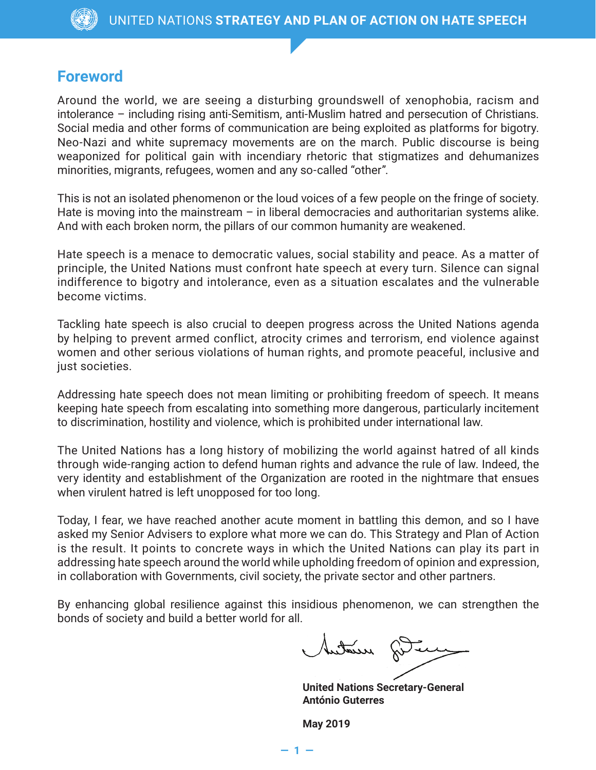## **Foreword**

Around the world, we are seeing a disturbing groundswell of xenophobia, racism and intolerance – including rising anti-Semitism, anti-Muslim hatred and persecution of Christians. Social media and other forms of communication are being exploited as platforms for bigotry. Neo-Nazi and white supremacy movements are on the march. Public discourse is being weaponized for political gain with incendiary rhetoric that stigmatizes and dehumanizes minorities, migrants, refugees, women and any so-called "other".

This is not an isolated phenomenon or the loud voices of a few people on the fringe of society. Hate is moving into the mainstream  $-$  in liberal democracies and authoritarian systems alike. And with each broken norm, the pillars of our common humanity are weakened.

Hate speech is a menace to democratic values, social stability and peace. As a matter of principle, the United Nations must confront hate speech at every turn. Silence can signal indifference to bigotry and intolerance, even as a situation escalates and the vulnerable become victims.

Tackling hate speech is also crucial to deepen progress across the United Nations agenda by helping to prevent armed conflict, atrocity crimes and terrorism, end violence against women and other serious violations of human rights, and promote peaceful, inclusive and just societies.

Addressing hate speech does not mean limiting or prohibiting freedom of speech. It means keeping hate speech from escalating into something more dangerous, particularly incitement to discrimination, hostility and violence, which is prohibited under international law.

The United Nations has a long history of mobilizing the world against hatred of all kinds through wide-ranging action to defend human rights and advance the rule of law. Indeed, the very identity and establishment of the Organization are rooted in the nightmare that ensues when virulent hatred is left unopposed for too long.

Today, I fear, we have reached another acute moment in battling this demon, and so I have asked my Senior Advisers to explore what more we can do. This Strategy and Plan of Action is the result. It points to concrete ways in which the United Nations can play its part in addressing hate speech around the world while upholding freedom of opinion and expression, in collaboration with Governments, civil society, the private sector and other partners.

By enhancing global resilience against this insidious phenomenon, we can strengthen the bonds of society and build a better world for all.

**— 1 —**

Autour fûte

**United Nations Secretary-General António Guterres**

**May 2019**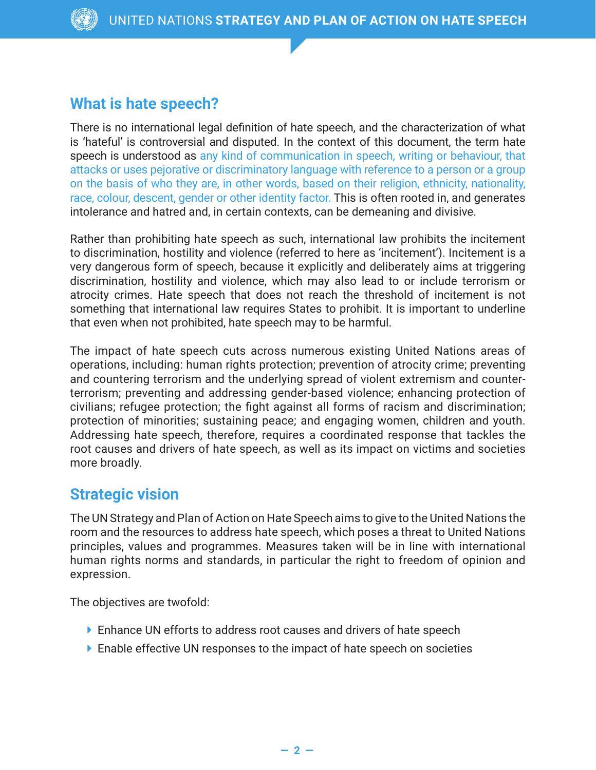## **What is hate speech?**

There is no international legal definition of hate speech, and the characterization of what is 'hateful' is controversial and disputed. In the context of this document, the term hate speech is understood as any kind of communication in speech, writing or behaviour, that attacks or uses pejorative or discriminatory language with reference to a person or a group on the basis of who they are, in other words, based on their religion, ethnicity, nationality, race, colour, descent, gender or other identity factor. This is often rooted in, and generates intolerance and hatred and, in certain contexts, can be demeaning and divisive.

Rather than prohibiting hate speech as such, international law prohibits the incitement to discrimination, hostility and violence (referred to here as 'incitement'). Incitement is a very dangerous form of speech, because it explicitly and deliberately aims at triggering discrimination, hostility and violence, which may also lead to or include terrorism or atrocity crimes. Hate speech that does not reach the threshold of incitement is not something that international law requires States to prohibit. It is important to underline that even when not prohibited, hate speech may to be harmful.

The impact of hate speech cuts across numerous existing United Nations areas of operations, including: human rights protection; prevention of atrocity crime; preventing and countering terrorism and the underlying spread of violent extremism and counterterrorism; preventing and addressing gender-based violence; enhancing protection of civilians; refugee protection; the fight against all forms of racism and discrimination; protection of minorities; sustaining peace; and engaging women, children and youth. Addressing hate speech, therefore, requires a coordinated response that tackles the root causes and drivers of hate speech, as well as its impact on victims and societies more broadly.

## **Strategic vision**

The UN Strategy and Plan of Action on Hate Speech aims to give to the United Nations the room and the resources to address hate speech, which poses a threat to United Nations principles, values and programmes. Measures taken will be in line with international human rights norms and standards, in particular the right to freedom of opinion and expression.

The objectives are twofold:

- ▶ Enhance UN efforts to address root causes and drivers of hate speech
- ▶ Enable effective UN responses to the impact of hate speech on societies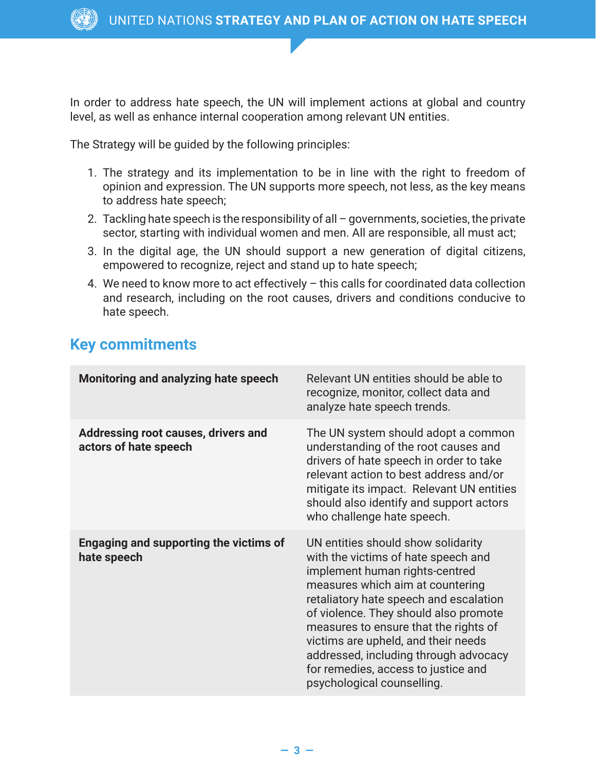In order to address hate speech, the UN will implement actions at global and country level, as well as enhance internal cooperation among relevant UN entities.

The Strategy will be guided by the following principles:

- 1. The strategy and its implementation to be in line with the right to freedom of opinion and expression. The UN supports more speech, not less, as the key means to address hate speech;
- 2. Tackling hate speech is the responsibility of all governments, societies, the private sector, starting with individual women and men. All are responsible, all must act;
- 3. In the digital age, the UN should support a new generation of digital citizens, empowered to recognize, reject and stand up to hate speech;
- 4. We need to know more to act effectively this calls for coordinated data collection and research, including on the root causes, drivers and conditions conducive to hate speech.

## **Key commitments**

| Monitoring and analyzing hate speech                         | Relevant UN entities should be able to<br>recognize, monitor, collect data and<br>analyze hate speech trends.                                                                                                                                                                                                                                                                                                                    |
|--------------------------------------------------------------|----------------------------------------------------------------------------------------------------------------------------------------------------------------------------------------------------------------------------------------------------------------------------------------------------------------------------------------------------------------------------------------------------------------------------------|
| Addressing root causes, drivers and<br>actors of hate speech | The UN system should adopt a common<br>understanding of the root causes and<br>drivers of hate speech in order to take<br>relevant action to best address and/or<br>mitigate its impact. Relevant UN entities<br>should also identify and support actors<br>who challenge hate speech.                                                                                                                                           |
| Engaging and supporting the victims of<br>hate speech        | UN entities should show solidarity<br>with the victims of hate speech and<br>implement human rights-centred<br>measures which aim at countering<br>retaliatory hate speech and escalation<br>of violence. They should also promote<br>measures to ensure that the rights of<br>victims are upheld, and their needs<br>addressed, including through advocacy<br>for remedies, access to justice and<br>psychological counselling. |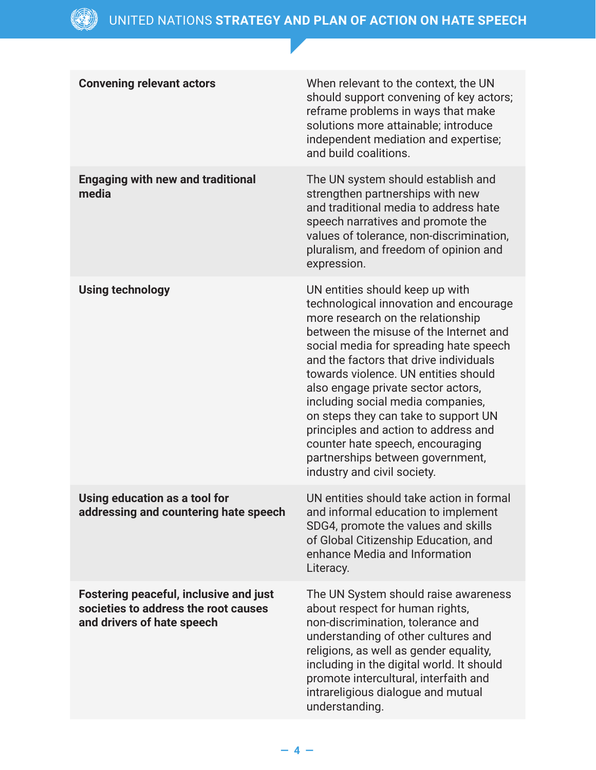| <b>Convening relevant actors</b>                                                                                    | When relevant to the context, the UN<br>should support convening of key actors;<br>reframe problems in ways that make<br>solutions more attainable; introduce<br>independent mediation and expertise;<br>and build coalitions.                                                                                                                                                                                                                                                                                                                         |
|---------------------------------------------------------------------------------------------------------------------|--------------------------------------------------------------------------------------------------------------------------------------------------------------------------------------------------------------------------------------------------------------------------------------------------------------------------------------------------------------------------------------------------------------------------------------------------------------------------------------------------------------------------------------------------------|
| <b>Engaging with new and traditional</b><br>media                                                                   | The UN system should establish and<br>strengthen partnerships with new<br>and traditional media to address hate<br>speech narratives and promote the<br>values of tolerance, non-discrimination,<br>pluralism, and freedom of opinion and<br>expression.                                                                                                                                                                                                                                                                                               |
| <b>Using technology</b>                                                                                             | UN entities should keep up with<br>technological innovation and encourage<br>more research on the relationship<br>between the misuse of the Internet and<br>social media for spreading hate speech<br>and the factors that drive individuals<br>towards violence. UN entities should<br>also engage private sector actors,<br>including social media companies,<br>on steps they can take to support UN<br>principles and action to address and<br>counter hate speech, encouraging<br>partnerships between government,<br>industry and civil society. |
| Using education as a tool for<br>addressing and countering hate speech                                              | UN entities should take action in formal<br>and informal education to implement<br>SDG4, promote the values and skills<br>of Global Citizenship Education, and<br>enhance Media and Information<br>Literacy.                                                                                                                                                                                                                                                                                                                                           |
| <b>Fostering peaceful, inclusive and just</b><br>societies to address the root causes<br>and drivers of hate speech | The UN System should raise awareness<br>about respect for human rights,<br>non-discrimination, tolerance and<br>understanding of other cultures and<br>religions, as well as gender equality,<br>including in the digital world. It should<br>promote intercultural, interfaith and<br>intrareligious dialogue and mutual<br>understanding.                                                                                                                                                                                                            |